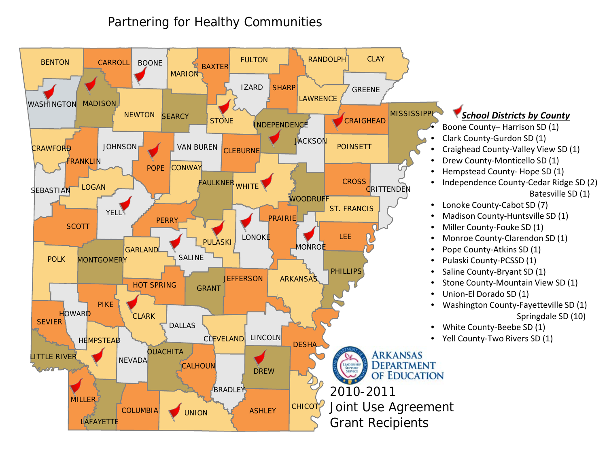

#### *School Districts by County*

- Boone County– Harrison SD (1)
- Clark County-Gurdon SD (1)
- Craighead County-Valley View SD (1)
- Drew County-Monticello SD (1)
- Hempstead County- Hope SD (1)
- Independence County-Cedar Ridge SD (2) Batesville SD (1)
- Lonoke County-Cabot SD (7)
- Madison County-Huntsville SD (1)
- Miller County-Fouke SD (1)
- Monroe County-Clarendon SD (1)
- Pope County-Atkins SD (1)
- Pulaski County-PCSSD (1)
- Saline County-Bryant SD (1)
- Stone County-Mountain View SD (1)
- Union-El Dorado SD (1)
- Washington County-Fayetteville SD (1) Springdale SD (10)
- White County-Beebe SD (1)
- Yell County-Two Rivers SD (1)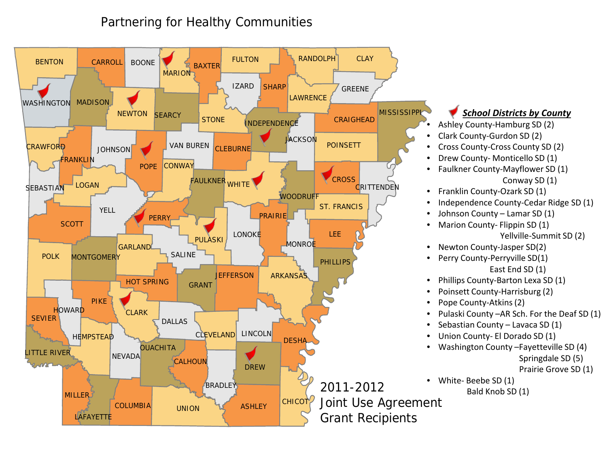

#### *School Districts by County*

- Ashley County-Hamburg SD (2)
- Clark County-Gurdon SD (2)
- Cross County-Cross County SD (2)
- Drew County- Monticello SD (1)
- Faulkner County-Mayflower SD (1) Conway SD (1)
- Franklin County-Ozark SD (1)
- Independence County-Cedar Ridge SD (1)
- Johnson County Lamar SD (1)
- Marion County- Flippin SD (1)
	- Yellville-Summit SD (2)
- Newton County-Jasper SD(2)
- Perry County-Perryville SD(1) East End SD (1)
- Phillips County-Barton Lexa SD (1)
- Poinsett County-Harrisburg (2)
- Pope County-Atkins (2)
- Pulaski County –AR Sch. For the Deaf SD (1)
- Sebastian County Lavaca SD (1)
- Union County- El Dorado SD (1)
- Washington County –Fayetteville SD (4)
	- Springdale SD (5)
	- Prairie Grove SD (1)

• White- Beebe SD (1) Bald Knob SD (1)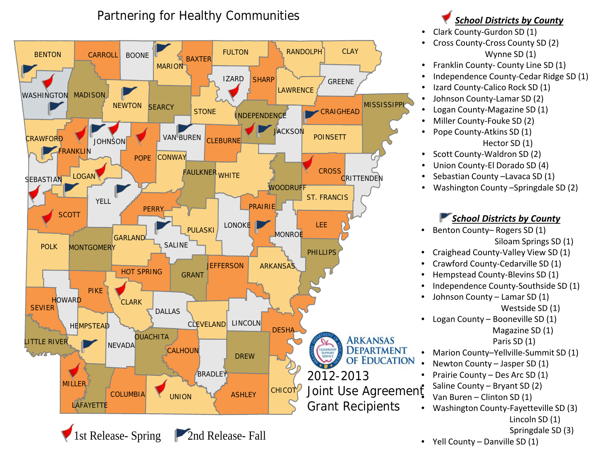

# *School Districts by County*

- Clark County-Gurdon SD (1)
- Cross County-Cross County SD (2) Wynne SD (1)
- Franklin County- County Line SD (1)
- Independence County-Cedar Ridge SD (1)
- Izard County-Calico Rock SD (1)
- Johnson County-Lamar SD (2)
- Logan County-Magazine SD (1)
- Miller County-Fouke SD (2)
- Pope County-Atkins SD (1) Hector SD (1)
- Scott County-Waldron SD (2)
- Union County-El Dorado SD (4)
- Sebastian County –Lavaca SD (1)
- Washington County –Springdale SD (2)

#### *School Districts by County*

- Benton County– Rogers SD (1) Siloam Springs SD (1)
- Craighead County-Valley View SD (1)
- Crawford County-Cedarville SD (1)
- Hempstead County-Blevins SD (1)
- Independence County-Southside SD (1)
- Johnson County Lamar SD (1) Westside SD (1)
- Logan County Booneville SD (1)

Magazine SD (1)

#### Paris SD (1)

- Marion County–Yellville-Summit SD (1)
- Newton County Jasper SD (1)
- Prairie County Des Arc SD (1)
- Saline County Bryant SD (2)
- Van Buren Clinton SD (1)
- Washington County-Fayetteville SD (3) Lincoln SD (1)
	- Springdale SD (3)
- Yell County Danville SD (1)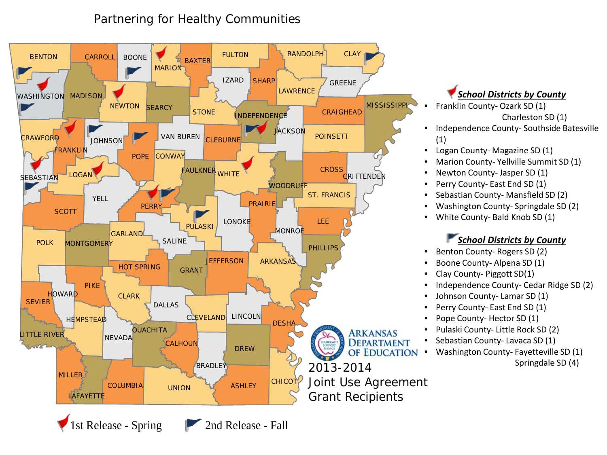

#### *School Districts by County*

- Franklin County- Ozark SD (1) Charleston SD (1)
- Independence County- Southside Batesville (1)
- Logan County- Magazine SD (1)
- Marion County- Yellville Summit SD (1)
- Newton County- Jasper SD (1)
- Perry County- East End SD (1)
- Sebastian County- Mansfield SD (2)
- Washington County- Springdale SD (2)
- White County- Bald Knob SD (1)

#### *School Districts by County*

- Benton County- Rogers SD (2)
- Boone County- Alpena SD (1)
- Clay County- Piggott SD(1)
- Independence County- Cedar Ridge SD (2)
- Johnson County- Lamar SD (1)
- Perry County- East End SD (1)
- Pope County- Hector SD (1)
- Pulaski County- Little Rock SD (2)
- Sebastian County- Lavaca SD (1)
- Washington County- Fayetteville SD (1)

Springdale SD (4)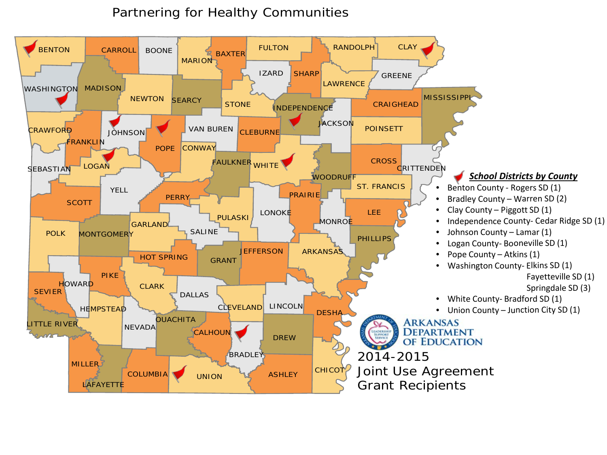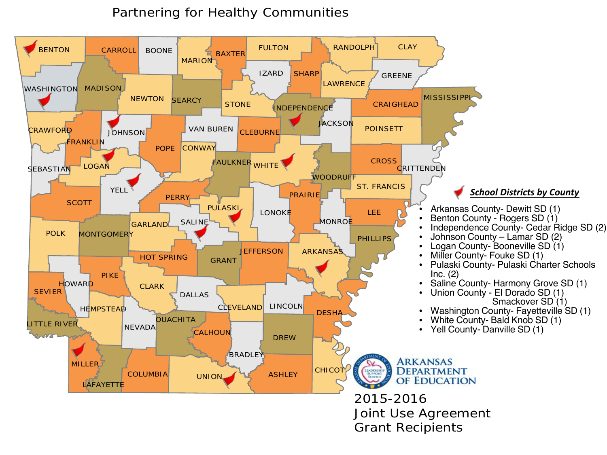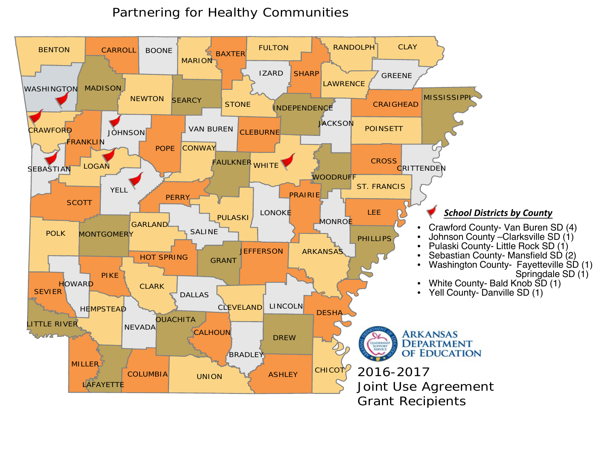